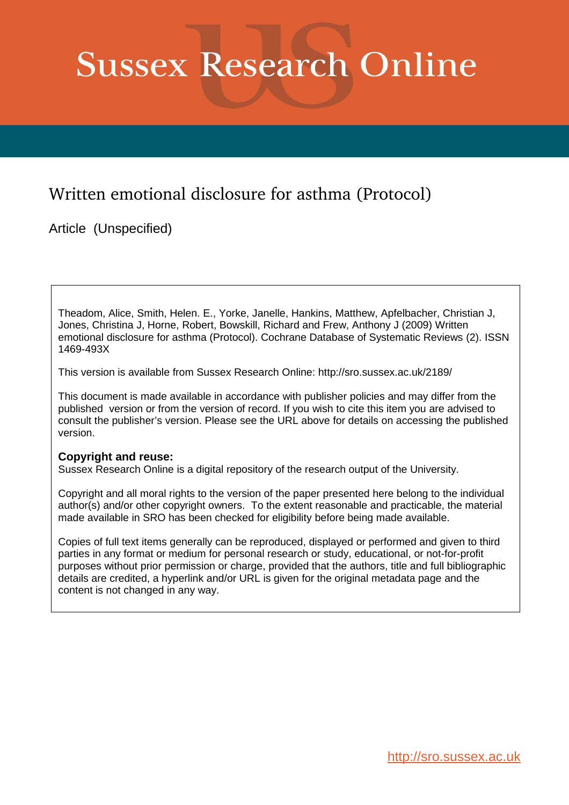# **Sussex Research Online**

# Written emotional disclosure for asthma (Protocol)

Article (Unspecified)

Theadom, Alice, Smith, Helen. E., Yorke, Janelle, Hankins, Matthew, Apfelbacher, Christian J, Jones, Christina J, Horne, Robert, Bowskill, Richard and Frew, Anthony J (2009) Written emotional disclosure for asthma (Protocol). Cochrane Database of Systematic Reviews (2). ISSN 1469-493X

This version is available from Sussex Research Online: http://sro.sussex.ac.uk/2189/

This document is made available in accordance with publisher policies and may differ from the published version or from the version of record. If you wish to cite this item you are advised to consult the publisher's version. Please see the URL above for details on accessing the published version.

# **Copyright and reuse:**

Sussex Research Online is a digital repository of the research output of the University.

Copyright and all moral rights to the version of the paper presented here belong to the individual author(s) and/or other copyright owners. To the extent reasonable and practicable, the material made available in SRO has been checked for eligibility before being made available.

Copies of full text items generally can be reproduced, displayed or performed and given to third parties in any format or medium for personal research or study, educational, or not-for-profit purposes without prior permission or charge, provided that the authors, title and full bibliographic details are credited, a hyperlink and/or URL is given for the original metadata page and the content is not changed in any way.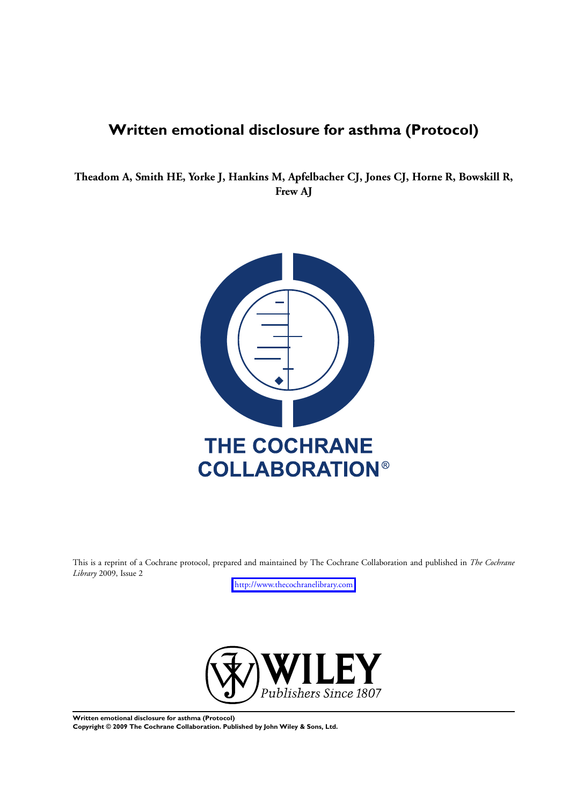# **Written emotional disclosure for asthma (Protocol)**

**Theadom A, Smith HE, Yorke J, Hankins M, Apfelbacher CJ, Jones CJ, Horne R, Bowskill R, Frew AJ**



This is a reprint of a Cochrane protocol, prepared and maintained by The Cochrane Collaboration and published in *The Cochrane Library* 2009, Issue 2

<http://www.thecochranelibrary.com>



**Written emotional disclosure for asthma (Protocol)**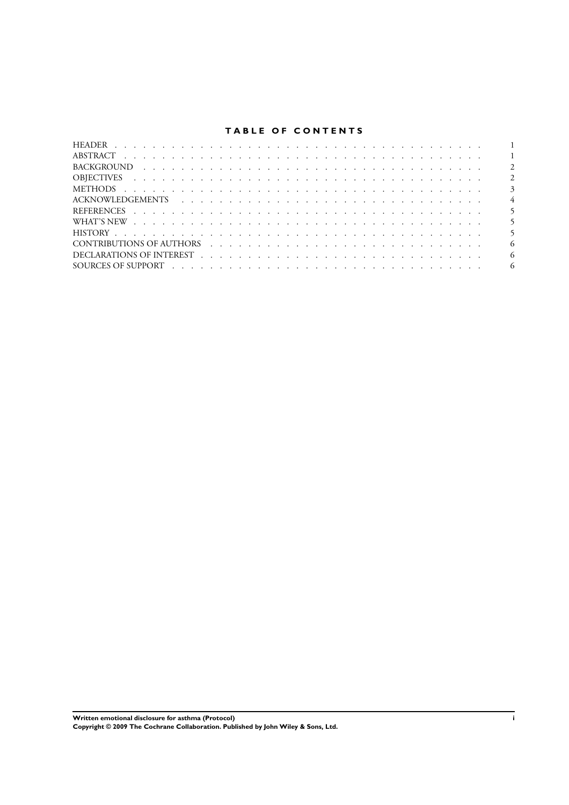# **TABLE OF CONTENTS**

|                                                                   | $\overline{2}$ |
|-------------------------------------------------------------------|----------------|
|                                                                   | $\overline{2}$ |
|                                                                   | $\overline{3}$ |
|                                                                   | $\overline{4}$ |
|                                                                   | 5              |
|                                                                   | 5              |
|                                                                   | 5              |
| CONTRIBUTIONS OF AUTHORS (CONTRIBUTIONS CONTRIBUTIONS OF AUTHORS) | -6             |
|                                                                   | -6             |
|                                                                   | -6             |
|                                                                   |                |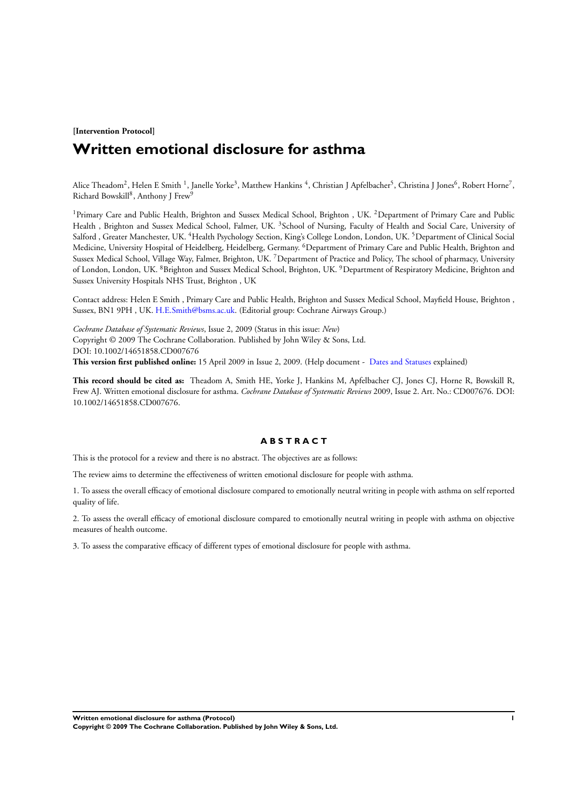**[Intervention Protocol]**

# **Written emotional disclosure for asthma**

Alice Theadom<sup>2</sup>, Helen E Smith <sup>1</sup>, Janelle Yorke<sup>3</sup>, Matthew Hankins <sup>4</sup>, Christian J Apfelbacher<sup>5</sup>, Christina J Jones<sup>6</sup>, Robert Horne<sup>7</sup>, Richard Bowskill<sup>8</sup>, Anthony J Frew<sup>9</sup>

<sup>1</sup>Primary Care and Public Health, Brighton and Sussex Medical School, Brighton, UK. <sup>2</sup>Department of Primary Care and Public Health , Brighton and Sussex Medical School, Falmer, UK. <sup>3</sup>School of Nursing, Faculty of Health and Social Care, University of Salford , Greater Manchester, UK. <sup>4</sup>Health Psychology Section, King's College London, London, UK. <sup>5</sup>Department of Clinical Social Medicine, University Hospital of Heidelberg, Heidelberg, Germany. <sup>6</sup>Department of Primary Care and Public Health, Brighton and Sussex Medical School, Village Way, Falmer, Brighton, UK. <sup>7</sup>Department of Practice and Policy, The school of pharmacy, University of London, London, UK. <sup>8</sup>Brighton and Sussex Medical School, Brighton, UK. <sup>9</sup>Department of Respiratory Medicine, Brighton and Sussex University Hospitals NHS Trust, Brighton , UK

Contact address: Helen E Smith , Primary Care and Public Health, Brighton and Sussex Medical School, Mayfield House, Brighton , Sussex, BN1 9PH , UK. [H.E.Smith@bsms.ac.uk.](mailto:H.E.Smith@bsms.ac.uk) (Editorial group: Cochrane Airways Group.)

*Cochrane Database of Systematic Reviews*, Issue 2, 2009 (Status in this issue: *New*) Copyright © 2009 The Cochrane Collaboration. Published by John Wiley & Sons, Ltd. DOI: 10.1002/14651858.CD007676

**This version first published online:** 15 April 2009 in Issue 2, 2009. (Help document - [Dates and Statuses](http://www3.interscience.wiley.com/cgi-bin/mrwhome/106568753/DatesStatuses.pdf) explained)

**This record should be cited as:** Theadom A, Smith HE, Yorke J, Hankins M, Apfelbacher CJ, Jones CJ, Horne R, Bowskill R, Frew AJ. Written emotional disclosure for asthma. *Cochrane Database of Systematic Reviews* 2009, Issue 2. Art. No.: CD007676. DOI: 10.1002/14651858.CD007676.

## **A B S T R A C T**

This is the protocol for a review and there is no abstract. The objectives are as follows:

The review aims to determine the effectiveness of written emotional disclosure for people with asthma.

1. To assess the overall efficacy of emotional disclosure compared to emotionally neutral writing in people with asthma on self reported quality of life.

2. To assess the overall efficacy of emotional disclosure compared to emotionally neutral writing in people with asthma on objective measures of health outcome.

3. To assess the comparative efficacy of different types of emotional disclosure for people with asthma.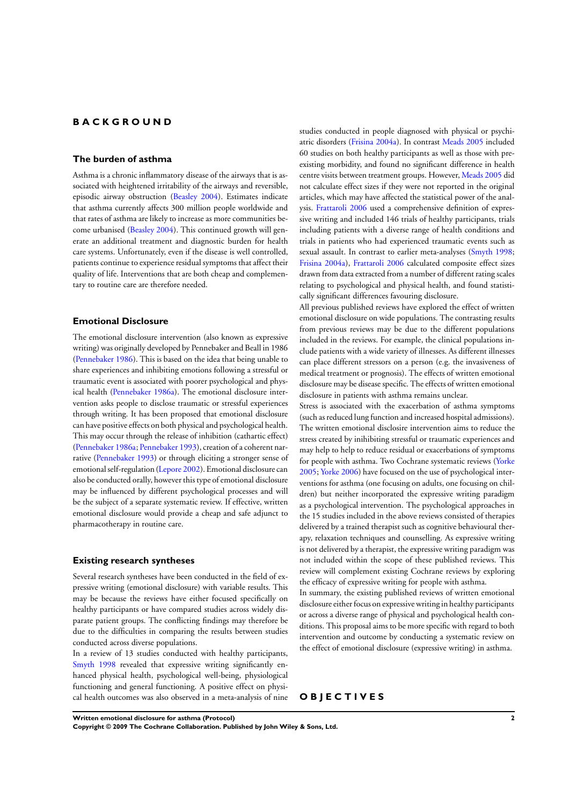# **B A C K G R O U N D**

#### **The burden of asthma**

Asthma is a chronic inflammatory disease of the airways that is associated with heightened irritability of the airways and reversible, episodic airway obstruction [\(Beasley 2004](#page-6-0)). Estimates indicate that asthma currently affects 300 million people worldwide and that rates of asthma are likely to increase as more communities become urbanised ([Beasley 2004](#page-6-0)). This continued growth will generate an additional treatment and diagnostic burden for health care systems. Unfortunately, even if the disease is well controlled, patients continue to experience residual symptoms that affect their quality of life. Interventions that are both cheap and complementary to routine care are therefore needed.

#### **Emotional Disclosure**

The emotional disclosure intervention (also known as expressive writing) was originally developed by Pennebaker and Beall in 1986 [\(Pennebaker 1986](#page-6-0)). This is based on the idea that being unable to share experiences and inhibiting emotions following a stressful or traumatic event is associated with poorer psychological and physical health ([Pennebaker 1986a](#page-6-0)). The emotional disclosure intervention asks people to disclose traumatic or stressful experiences through writing. It has been proposed that emotional disclosure can have positive effects on both physical and psychological health. This may occur through the release of inhibition (cathartic effect) [\(Pennebaker 1986a](#page-6-0); [Pennebaker 1993\)](#page-6-0), creation of a coherent narrative ([Pennebaker 1993](#page-6-0)) or through eliciting a stronger sense of emotional self-regulation ([Lepore 2002](#page-6-0)). Emotional disclosure can also be conducted orally, however this type of emotional disclosure may be influenced by different psychological processes and will be the subject of a separate systematic review. If effective, written emotional disclosure would provide a cheap and safe adjunct to pharmacotherapy in routine care.

#### **Existing research syntheses**

Several research syntheses have been conducted in the field of expressive writing (emotional disclosure) with variable results. This may be because the reviews have either focused specifically on healthy participants or have compared studies across widely disparate patient groups. The conflicting findings may therefore be due to the difficulties in comparing the results between studies conducted across diverse populations.

In a review of 13 studies conducted with healthy participants, [Smyth 1998](#page-6-0) revealed that expressive writing significantly enhanced physical health, psychological well-being, physiological functioning and general functioning. A positive effect on physical health outcomes was also observed in a meta-analysis of nine studies conducted in people diagnosed with physical or psychiatric disorders [\(Frisina 2004a\)](#page-6-0). In contrast [Meads 2005](#page-6-0) included 60 studies on both healthy participants as well as those with preexisting morbidity, and found no significant difference in health centre visits between treatment groups. However, [Meads 2005](#page-6-0) did not calculate effect sizes if they were not reported in the original articles, which may have affected the statistical power of the analysis. [Frattaroli 2006](#page-6-0) used a comprehensive definition of expressive writing and included 146 trials of healthy participants, trials including patients with a diverse range of health conditions and trials in patients who had experienced traumatic events such as sexual assault. In contrast to earlier meta-analyses ([Smyth 1998;](#page-6-0) [Frisina 2004a](#page-6-0)), [Frattaroli 2006](#page-6-0) calculated composite effect sizes drawn from data extracted from a number of different rating scales relating to psychological and physical health, and found statistically significant differences favouring disclosure.

All previous published reviews have explored the effect of written emotional disclosure on wide populations. The contrasting results from previous reviews may be due to the different populations included in the reviews. For example, the clinical populations include patients with a wide variety of illnesses. As different illnesses can place different stressors on a person (e.g. the invasiveness of medical treatment or prognosis). The effects of written emotional disclosure may be disease specific. The effects of written emotional disclosure in patients with asthma remains unclear.

Stress is associated with the exacerbation of asthma symptoms (such as reduced lung function and increased hospital admissions). The written emotional disclosire intervention aims to reduce the stress created by inihibiting stressful or traumatic experiences and may help to help to reduce residual or exacerbations of symptoms for people with asthma. Two Cochrane systematic reviews ([Yorke](#page-6-0) [2005](#page-6-0); [Yorke 2006\)](#page-6-0) have focused on the use of psychological interventions for asthma (one focusing on adults, one focusing on children) but neither incorporated the expressive writing paradigm as a psychological intervention. The psychological approaches in the 15 studies included in the above reviews consisted of therapies delivered by a trained therapist such as cognitive behavioural therapy, relaxation techniques and counselling. As expressive writing is not delivered by a therapist, the expressive writing paradigm was not included within the scope of these published reviews. This review will complement existing Cochrane reviews by exploring the efficacy of expressive writing for people with asthma.

In summary, the existing published reviews of written emotional disclosure either focus on expressive writing in healthy participants or across a diverse range of physical and psychological health conditions. This proposal aims to be more specific with regard to both intervention and outcome by conducting a systematic review on the effect of emotional disclosure (expressive writing) in asthma.

## **O B J E C T I V E S**

**Written emotional disclosure for asthma (Protocol) 2**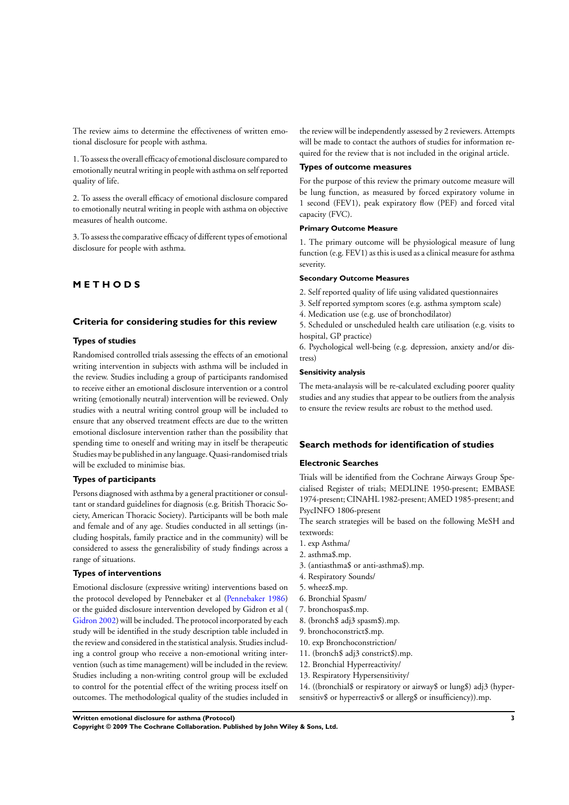The review aims to determine the effectiveness of written emotional disclosure for people with asthma.

1. To assess the overall efficacy of emotional disclosure compared to emotionally neutral writing in people with asthma on self reported quality of life.

2. To assess the overall efficacy of emotional disclosure compared to emotionally neutral writing in people with asthma on objective measures of health outcome.

3. To assess the comparative efficacy of different types of emotional disclosure for people with asthma.

## **M E T H O D S**

#### **Criteria for considering studies for this review**

#### **Types of studies**

Randomised controlled trials assessing the effects of an emotional writing intervention in subjects with asthma will be included in the review. Studies including a group of participants randomised to receive either an emotional disclosure intervention or a control writing (emotionally neutral) intervention will be reviewed. Only studies with a neutral writing control group will be included to ensure that any observed treatment effects are due to the written emotional disclosure intervention rather than the possibility that spending time to oneself and writing may in itself be therapeutic Studies may be published in any language. Quasi-randomised trials will be excluded to minimise bias.

#### **Types of participants**

Persons diagnosed with asthma by a general practitioner or consultant or standard guidelines for diagnosis (e.g. British Thoracic Society, American Thoracic Society). Participants will be both male and female and of any age. Studies conducted in all settings (including hospitals, family practice and in the community) will be considered to assess the generalisbility of study findings across a range of situations.

#### **Types of interventions**

Emotional disclosure (expressive writing) interventions based on the protocol developed by Pennebaker et al [\(Pennebaker 1986](#page-6-0)) or the guided disclosure intervention developed by Gidron et al ( [Gidron 2002](#page-6-0)) will be included. The protocol incorporated by each study will be identified in the study description table included in the review and considered in the statistical analysis. Studies including a control group who receive a non-emotional writing intervention (such as time management) will be included in the review. Studies including a non-writing control group will be excluded to control for the potential effect of the writing process itself on outcomes. The methodological quality of the studies included in the review will be independently assessed by 2 reviewers. Attempts will be made to contact the authors of studies for information required for the review that is not included in the original article.

#### **Types of outcome measures**

For the purpose of this review the primary outcome measure will be lung function, as measured by forced expiratory volume in 1 second (FEV1), peak expiratory flow (PEF) and forced vital capacity (FVC).

#### **Primary Outcome Measure**

1. The primary outcome will be physiological measure of lung function (e.g. FEV1) as this is used as a clinical measure for asthma severity.

#### **Secondary Outcome Measures**

2. Self reported quality of life using validated questionnaires

- 3. Self reported symptom scores (e.g. asthma symptom scale)
- 4. Medication use (e.g. use of bronchodilator)

5. Scheduled or unscheduled health care utilisation (e.g. visits to hospital, GP practice)

6. Psychological well-being (e.g. depression, anxiety and/or distress)

#### **Sensitivity analysis**

The meta-analaysis will be re-calculated excluding poorer quality studies and any studies that appear to be outliers from the analysis to ensure the review results are robust to the method used.

#### **Search methods for identification of studies**

#### **Electronic Searches**

Trials will be identified from the Cochrane Airways Group Specialised Register of trials; MEDLINE 1950-present; EMBASE 1974-present; CINAHL 1982-present; AMED 1985-present; and PsycINFO 1806-present

The search strategies will be based on the following MeSH and textwords:

- 1. exp Asthma/
- 2. asthma\$.mp.
- 3. (antiasthma\$ or anti-asthma\$).mp.
- 4. Respiratory Sounds/
- 5. wheez\$.mp.
- 6. Bronchial Spasm/
- 7. bronchospas\$.mp.
- 8. (bronch\$ adj3 spasm\$).mp.
- 9. bronchoconstrict\$.mp.
- 10. exp Bronchoconstriction/
- 11. (bronch\$ adj3 constrict\$).mp.
- 12. Bronchial Hyperreactivity/
- 13. Respiratory Hypersensitivity/

14. ((bronchial\$ or respiratory or airway\$ or lung\$) adj3 (hypersensitiv\$ or hyperreactiv\$ or allerg\$ or insufficiency)).mp.

**Written emotional disclosure for asthma (Protocol) 3**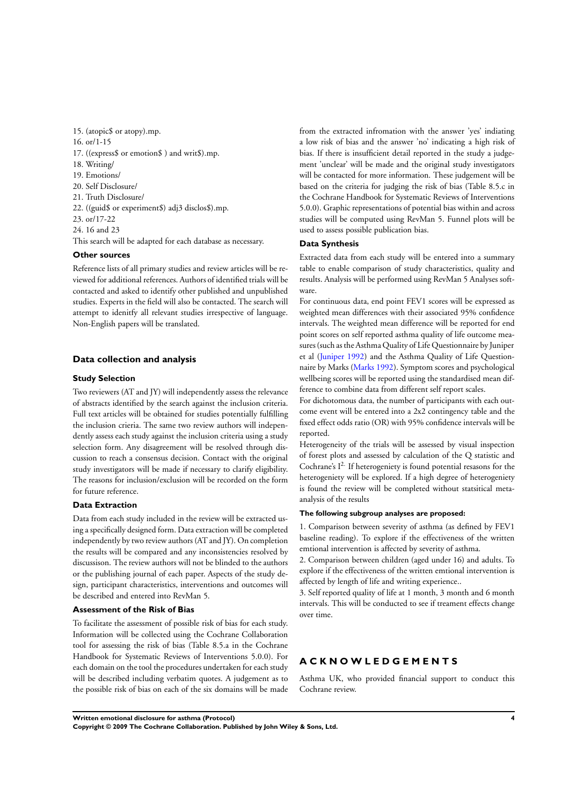<span id="page-6-0"></span>15. (atopic\$ or atopy).mp. 16. or/1-15 17. ((express\$ or emotion\$ ) and writ\$).mp. 18. Writing/ 19. Emotions/ 20. Self Disclosure/ 21. Truth Disclosure/ 22. ((guid\$ or experiment\$) adj3 disclos\$).mp. 23. or/17-22 24. 16 and 23 This search will be adapted for each database as necessary.

#### **Other sources**

Reference lists of all primary studies and review articles will be reviewed for additional references. Authors of identified trials will be contacted and asked to identify other published and unpublished studies. Experts in the field will also be contacted. The search will attempt to idenitfy all relevant studies irrespective of language. Non-English papers will be translated.

#### **Data collection and analysis**

#### **Study Selection**

Two reviewers (AT and JY) will independently assess the relevance of abstracts identified by the search against the inclusion criteria. Full text articles will be obtained for studies potentially fulfilling the inclusion crieria. The same two review authors will independently assess each study against the inclusion criteria using a study selection form. Any disagreement will be resolved through discussion to reach a consensus decision. Contact with the original study investigators will be made if necessary to clarify eligibility. The reasons for inclusion/exclusion will be recorded on the form for future reference.

#### **Data Extraction**

Data from each study included in the review will be extracted using a specifically designed form. Data extraction will be completed independently by two review authors (AT and JY). On completion the results will be compared and any inconsistencies resolved by discussison. The review authors will not be blinded to the authors or the publishing journal of each paper. Aspects of the study design, participant characteristics, interventions and outcomes will be described and entered into RevMan 5.

#### **Assessment of the Risk of Bias**

To facilitate the assessment of possible risk of bias for each study. Information will be collected using the Cochrane Collaboration tool for assessing the risk of bias (Table 8.5.a in the Cochrane Handbook for Systematic Reviews of Interventions 5.0.0). For each domain on the tool the procedures undertaken for each study will be described including verbatim quotes. A judgement as to the possible risk of bias on each of the six domains will be made from the extracted infromation with the answer 'yes' indiating a low risk of bias and the answer 'no' indicating a high risk of bias. If there is insufficient detail reported in the study a judgement 'unclear' will be made and the original study investigators will be contacted for more information. These judgement will be based on the criteria for judging the risk of bias (Table 8.5.c in the Cochrane Handbook for Systematic Reviews of Interventions 5.0.0). Graphic representations of potential bias within and across studies will be computed using RevMan 5. Funnel plots will be used to assess possible publication bias.

#### **Data Synthesis**

Extracted data from each study will be entered into a summary table to enable comparison of study characteristics, quality and results. Analysis will be performed using RevMan 5 Analyses software.

For continuous data, end point FEV1 scores will be expressed as weighted mean differences with their associated 95% confidence intervals. The weighted mean difference will be reported for end point scores on self reported asthma quality of life outcome measures (such as the Asthma Quality of Life Questionnaire by Juniper et al (Juniper 1992) and the Asthma Quality of Life Questionnaire by Marks (Marks 1992). Symptom scores and psychological wellbeing scores will be reported using the standardised mean difference to combine data from different self report scales.

For dichotomous data, the number of participants with each outcome event will be entered into a 2x2 contingency table and the fixed effect odds ratio (OR) with 95% confidence intervals will be reported.

Heterogeneity of the trials will be assessed by visual inspection of forest plots and assessed by calculation of the Q statistic and Cochrane's I<sup>2.</sup> If heterogeniety is found potential resasons for the heterogeniety will be explored. If a high degree of heterogeniety is found the review will be completed without statsitical metaanalysis of the results

#### **The following subgroup analyses are proposed:**

1. Comparison between severity of asthma (as defined by FEV1 baseline reading). To explore if the effectiveness of the written emtional intervention is affected by severity of asthma.

2. Comparison between children (aged under 16) and adults. To explore if the effectiveness of the written emtional intervention is affected by length of life and writing experience..

3. Self reported quality of life at 1 month, 3 month and 6 month intervals. This will be conducted to see if treament effects change over time.

## **A C K N O W L E D G E M E N T S**

Asthma UK, who provided financial support to conduct this Cochrane review.

**Written emotional disclosure for asthma (Protocol) 4**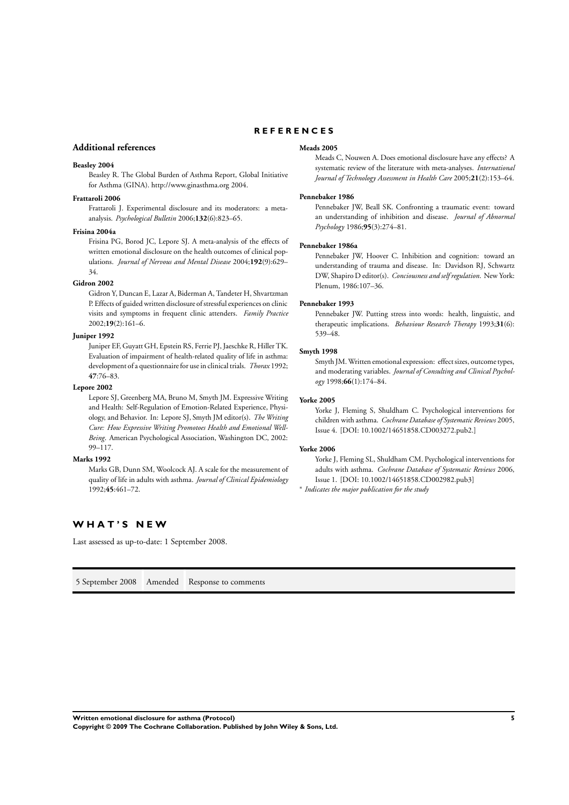#### **R E F E R E N C E S**

#### **Additional references**

#### **Beasley 2004**

Beasley R. The Global Burden of Asthma Report, Global Initiative for Asthma (GINA). http://www.ginasthma.org 2004.

#### **Frattaroli 2006**

Frattaroli J. Experimental disclosure and its moderators: a metaanalysis. *Psychological Bulletin* 2006;**132**(6):823–65.

#### **Frisina 2004a**

Frisina PG, Borod JC, Lepore SJ. A meta-analysis of the effects of written emotional disclosure on the health outcomes of clinical populations. *Journal of Nervous and Mental Disease* 2004;**192**(9):629– 34.

#### **Gidron 2002**

Gidron Y, Duncan E, Lazar A, Biderman A, Tandeter H, Shvartzman P. Effects of guided written disclosure of stressful experiences on clinic visits and symptoms in frequent clinic attenders. *Family Practice* 2002;**19**(2):161–6.

#### **Juniper 1992**

Juniper EF, Guyatt GH, Epstein RS, Ferrie PJ, Jaeschke R, Hiller TK. Evaluation of impairment of health-related quality of life in asthma: development of a questionnaire for use in clinical trials. *Thorax* 1992; **47**:76–83.

#### **Lepore 2002**

Lepore SJ, Greenberg MA, Bruno M, Smyth JM. Expressive Writing and Health: Self-Regulation of Emotion-Related Experience, Physiology, and Behavior. In: Lepore SJ, Smyth JM editor(s). *The Writing Cure: How Expressive Writing Promotoes Health and Emotional Well-Being*. American Psychological Association, Washington DC, 2002: 99–117.

#### **Marks 1992**

Marks GB, Dunn SM, Woolcock AJ. A scale for the measurement of quality of life in adults with asthma. *Journal of Clinical Epidemiology* 1992;**45**:461–72.

#### **W H A T ' S N E W**

Last assessed as up-to-date: 1 September 2008.

#### **Meads 2005**

Meads C, Nouwen A. Does emotional disclosure have any effects? A systematic review of the literature with meta-analyses. *International Journal of Technology Assessment in Health Care* 2005;**21**(2):153–64.

#### **Pennebaker 1986**

Pennebaker JW, Beall SK. Confronting a traumatic event: toward an understanding of inhibition and disease. *Journal of Abnormal Psychology* 1986;**95**(3):274–81.

#### **Pennebaker 1986a**

Pennebaker JW, Hoover C. Inhibition and cognition: toward an understanding of trauma and disease. In: Davidson RJ, Schwartz DW, Shapiro D editor(s). *Conciousness and self regulation*. New York: Plenum, 1986:107–36.

#### **Pennebaker 1993**

Pennebaker JW. Putting stress into words: health, linguistic, and therapeutic implications. *Behaviour Research Therapy* 1993;**31**(6): 539–48.

#### **Smyth 1998**

Smyth JM. Written emotional expression: effect sizes, outcome types, and moderating variables. *Journal of Consulting and Clinical Psychology* 1998;**66**(1):174–84.

#### **Yorke 2005**

Yorke J, Fleming S, Shuldham C. Psychological interventions for children with asthma. *Cochrane Database of Systematic Reviews* 2005, Issue 4. [DOI: 10.1002/14651858.CD003272.pub2.]

#### **Yorke 2006**

Yorke J, Fleming SL, Shuldham CM. Psychological interventions for adults with asthma. *Cochrane Database of Systematic Reviews* 2006, Issue 1. [DOI: 10.1002/14651858.CD002982.pub3]

∗ *Indicates the major publication for the study*

5 September 2008 Amended Response to comments

**Written emotional disclosure for asthma (Protocol) 5**